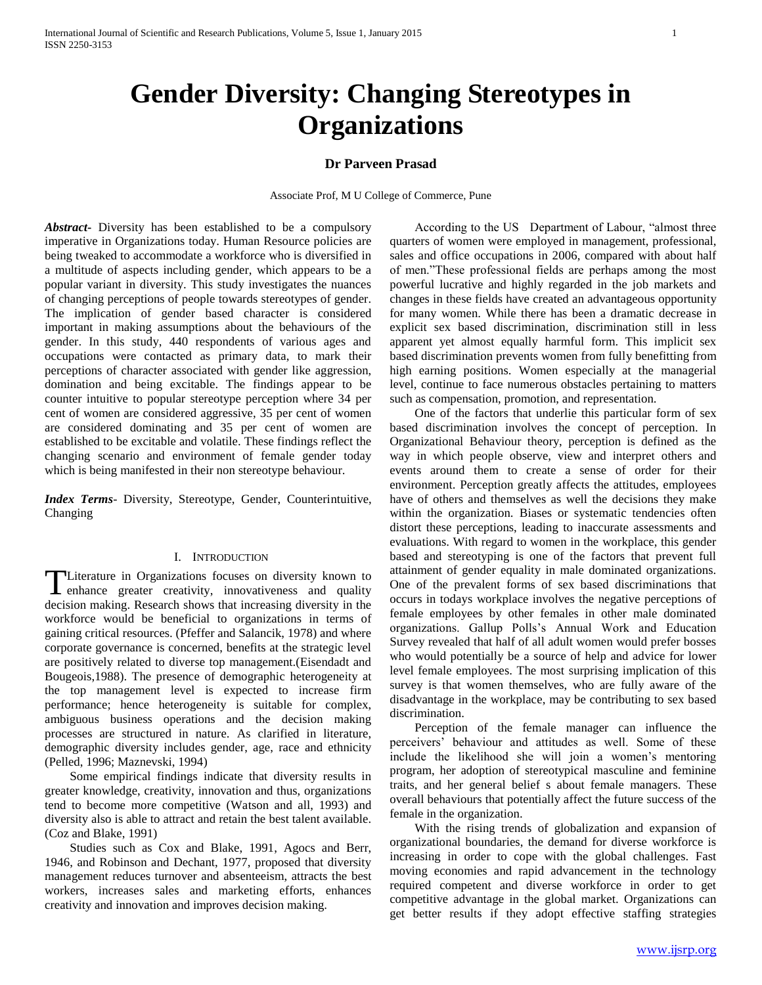# **Gender Diversity: Changing Stereotypes in Organizations**

# **Dr Parveen Prasad**

Associate Prof, M U College of Commerce, Pune

*Abstract***-** Diversity has been established to be a compulsory imperative in Organizations today. Human Resource policies are being tweaked to accommodate a workforce who is diversified in a multitude of aspects including gender, which appears to be a popular variant in diversity. This study investigates the nuances of changing perceptions of people towards stereotypes of gender. The implication of gender based character is considered important in making assumptions about the behaviours of the gender. In this study, 440 respondents of various ages and occupations were contacted as primary data, to mark their perceptions of character associated with gender like aggression, domination and being excitable. The findings appear to be counter intuitive to popular stereotype perception where 34 per cent of women are considered aggressive, 35 per cent of women are considered dominating and 35 per cent of women are established to be excitable and volatile. These findings reflect the changing scenario and environment of female gender today which is being manifested in their non stereotype behaviour.

*Index Terms*- Diversity, Stereotype, Gender, Counterintuitive, Changing

### I. INTRODUCTION

Literature in Organizations focuses on diversity known to TLiterature in Organizations focuses on diversity known to enhance greater creativity, innovativeness and quality decision making. Research shows that increasing diversity in the workforce would be beneficial to organizations in terms of gaining critical resources. (Pfeffer and Salancik, 1978) and where corporate governance is concerned, benefits at the strategic level are positively related to diverse top management.(Eisendadt and Bougeois,1988). The presence of demographic heterogeneity at the top management level is expected to increase firm performance; hence heterogeneity is suitable for complex, ambiguous business operations and the decision making processes are structured in nature. As clarified in literature, demographic diversity includes gender, age, race and ethnicity (Pelled, 1996; Maznevski, 1994)

 Some empirical findings indicate that diversity results in greater knowledge, creativity, innovation and thus, organizations tend to become more competitive (Watson and all, 1993) and diversity also is able to attract and retain the best talent available. (Coz and Blake, 1991)

 Studies such as Cox and Blake, 1991, Agocs and Berr, 1946, and Robinson and Dechant, 1977, proposed that diversity management reduces turnover and absenteeism, attracts the best workers, increases sales and marketing efforts, enhances creativity and innovation and improves decision making.

 According to the US Department of Labour, "almost three quarters of women were employed in management, professional, sales and office occupations in 2006, compared with about half of men."These professional fields are perhaps among the most powerful lucrative and highly regarded in the job markets and changes in these fields have created an advantageous opportunity for many women. While there has been a dramatic decrease in explicit sex based discrimination, discrimination still in less apparent yet almost equally harmful form. This implicit sex based discrimination prevents women from fully benefitting from high earning positions. Women especially at the managerial level, continue to face numerous obstacles pertaining to matters such as compensation, promotion, and representation.

 One of the factors that underlie this particular form of sex based discrimination involves the concept of perception. In Organizational Behaviour theory, perception is defined as the way in which people observe, view and interpret others and events around them to create a sense of order for their environment. Perception greatly affects the attitudes, employees have of others and themselves as well the decisions they make within the organization. Biases or systematic tendencies often distort these perceptions, leading to inaccurate assessments and evaluations. With regard to women in the workplace, this gender based and stereotyping is one of the factors that prevent full attainment of gender equality in male dominated organizations. One of the prevalent forms of sex based discriminations that occurs in todays workplace involves the negative perceptions of female employees by other females in other male dominated organizations. Gallup Polls's Annual Work and Education Survey revealed that half of all adult women would prefer bosses who would potentially be a source of help and advice for lower level female employees. The most surprising implication of this survey is that women themselves, who are fully aware of the disadvantage in the workplace, may be contributing to sex based discrimination.

 Perception of the female manager can influence the perceivers' behaviour and attitudes as well. Some of these include the likelihood she will join a women's mentoring program, her adoption of stereotypical masculine and feminine traits, and her general belief s about female managers. These overall behaviours that potentially affect the future success of the female in the organization.

 With the rising trends of globalization and expansion of organizational boundaries, the demand for diverse workforce is increasing in order to cope with the global challenges. Fast moving economies and rapid advancement in the technology required competent and diverse workforce in order to get competitive advantage in the global market. Organizations can get better results if they adopt effective staffing strategies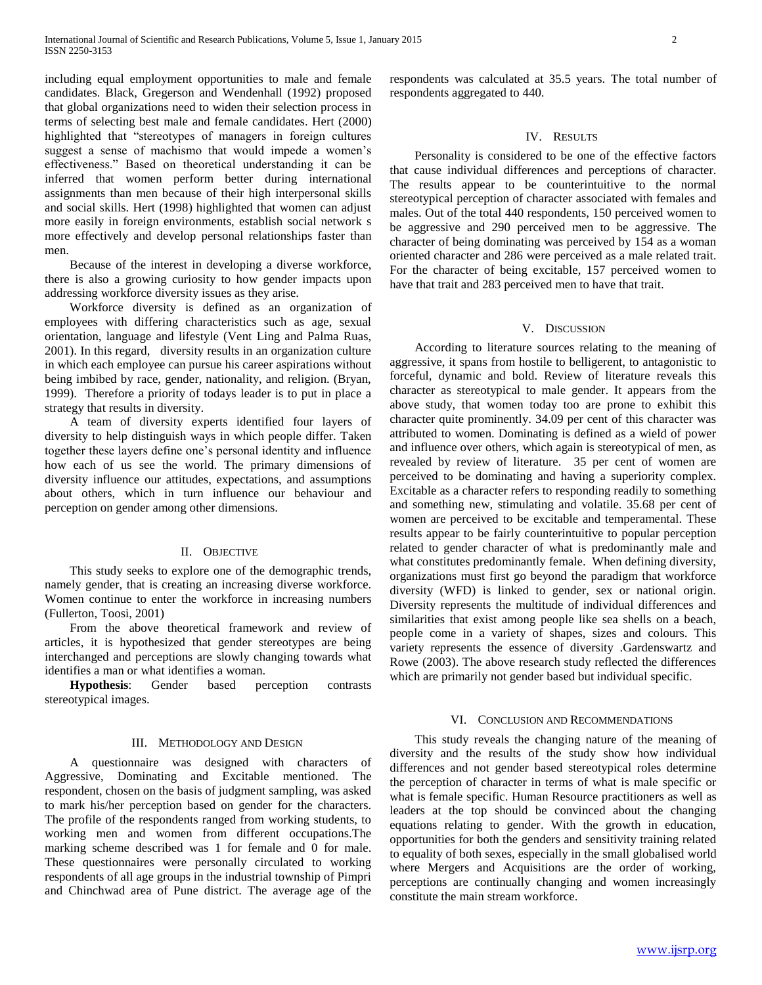including equal employment opportunities to male and female candidates. Black, Gregerson and Wendenhall (1992) proposed that global organizations need to widen their selection process in terms of selecting best male and female candidates. Hert (2000) highlighted that "stereotypes of managers in foreign cultures suggest a sense of machismo that would impede a women's effectiveness." Based on theoretical understanding it can be inferred that women perform better during international assignments than men because of their high interpersonal skills and social skills. Hert (1998) highlighted that women can adjust more easily in foreign environments, establish social network s more effectively and develop personal relationships faster than men.

 Because of the interest in developing a diverse workforce, there is also a growing curiosity to how gender impacts upon addressing workforce diversity issues as they arise.

 Workforce diversity is defined as an organization of employees with differing characteristics such as age, sexual orientation, language and lifestyle (Vent Ling and Palma Ruas, 2001). In this regard, diversity results in an organization culture in which each employee can pursue his career aspirations without being imbibed by race, gender, nationality, and religion. (Bryan, 1999). Therefore a priority of todays leader is to put in place a strategy that results in diversity.

 A team of diversity experts identified four layers of diversity to help distinguish ways in which people differ. Taken together these layers define one's personal identity and influence how each of us see the world. The primary dimensions of diversity influence our attitudes, expectations, and assumptions about others, which in turn influence our behaviour and perception on gender among other dimensions.

## II. OBJECTIVE

 This study seeks to explore one of the demographic trends, namely gender, that is creating an increasing diverse workforce. Women continue to enter the workforce in increasing numbers (Fullerton, Toosi, 2001)

 From the above theoretical framework and review of articles, it is hypothesized that gender stereotypes are being interchanged and perceptions are slowly changing towards what identifies a man or what identifies a woman.

 **Hypothesis**: Gender based perception contrasts stereotypical images.

## III. METHODOLOGY AND DESIGN

 A questionnaire was designed with characters of Aggressive, Dominating and Excitable mentioned. The respondent, chosen on the basis of judgment sampling, was asked to mark his/her perception based on gender for the characters. The profile of the respondents ranged from working students, to working men and women from different occupations.The marking scheme described was 1 for female and 0 for male. These questionnaires were personally circulated to working respondents of all age groups in the industrial township of Pimpri and Chinchwad area of Pune district. The average age of the

respondents was calculated at 35.5 years. The total number of respondents aggregated to 440.

## IV. RESULTS

 Personality is considered to be one of the effective factors that cause individual differences and perceptions of character. The results appear to be counterintuitive to the normal stereotypical perception of character associated with females and males. Out of the total 440 respondents, 150 perceived women to be aggressive and 290 perceived men to be aggressive. The character of being dominating was perceived by 154 as a woman oriented character and 286 were perceived as a male related trait. For the character of being excitable, 157 perceived women to have that trait and 283 perceived men to have that trait.

#### V. DISCUSSION

 According to literature sources relating to the meaning of aggressive, it spans from hostile to belligerent, to antagonistic to forceful, dynamic and bold. Review of literature reveals this character as stereotypical to male gender. It appears from the above study, that women today too are prone to exhibit this character quite prominently. 34.09 per cent of this character was attributed to women. Dominating is defined as a wield of power and influence over others, which again is stereotypical of men, as revealed by review of literature. 35 per cent of women are perceived to be dominating and having a superiority complex. Excitable as a character refers to responding readily to something and something new, stimulating and volatile. 35.68 per cent of women are perceived to be excitable and temperamental. These results appear to be fairly counterintuitive to popular perception related to gender character of what is predominantly male and what constitutes predominantly female. When defining diversity, organizations must first go beyond the paradigm that workforce diversity (WFD) is linked to gender, sex or national origin. Diversity represents the multitude of individual differences and similarities that exist among people like sea shells on a beach, people come in a variety of shapes, sizes and colours. This variety represents the essence of diversity .Gardenswartz and Rowe (2003). The above research study reflected the differences which are primarily not gender based but individual specific.

## VI. CONCLUSION AND RECOMMENDATIONS

 This study reveals the changing nature of the meaning of diversity and the results of the study show how individual differences and not gender based stereotypical roles determine the perception of character in terms of what is male specific or what is female specific. Human Resource practitioners as well as leaders at the top should be convinced about the changing equations relating to gender. With the growth in education, opportunities for both the genders and sensitivity training related to equality of both sexes, especially in the small globalised world where Mergers and Acquisitions are the order of working, perceptions are continually changing and women increasingly constitute the main stream workforce.